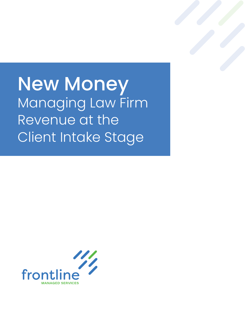# New Money Managing Law Firm Revenue at the Client Intake Stage

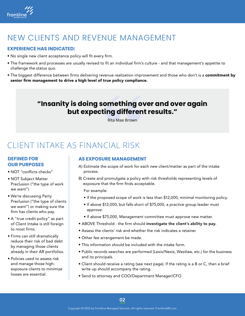

### NEW CLIENTS AND REVENUE MANAGEMENT

#### **EXPERIENCE HAS INDICATED:**

- No single new client acceptance policy will fit every firm.
- The framework and processes are usually revised to fit an individual firm's culture and that management's appetite to challenge the status quo.
- The biggest difference between firms delivering revenue realization improvement and those who don't is a commitment by senior firm management to drive a high level of true policy compliance.

### **"Insanity is doing something over and over again but expecting different results."**

Rita Mae Brown

### CLIENT INTAKE AS FINANCIAL RISK

#### **DEFINED FOR OUR PURPOSES**

- NOT "conflicts checks"
- NOT Subject Matter Preclusion ("the type of work we want")
- We're discussing Party Preclusion ("the type of clients we want") or making sure the firm has clients who pay.
- A "true credit policy" as part of Client Intake is still foreign to most firms.
- Firms can still dramatically reduce their risk of bad debt by managing those clients already in their AR portfolios.
- Policies used to assess risk and manage those highexposure clients to minimize losses are essential.

#### **AS EXPOSURE MANAGEMENT**

- A) Estimate the scope of work for each new client/matter as part of the intake process.
- B) Create and promulgate a policy with risk thresholds representing levels of exposure that the firm finds acceptable.

For example:

- If the proposed scope of work is less than \$12,000, minimal monitoring policy.
- If above \$12,000, but falls short of \$75,000, a practice group leader must approve.
- If above \$75,000, Management committee must approve new matter.
- ABOVE Threshold the firm should investigate the client's ability to pay.
- Assess the clients' risk and whether the risk indicates a retainer
- Other fee arrangement be made.
- This information should be included with the intake form.
- Public records searches are performed (Lexis/Nexis, Westlaw, etc.) for the business and its principals.
- Client should receive a rating (see next page). If the rating is a B or C, then a brief write up should accompany the rating.
- Send to attorney and COO/Department Manager/CFO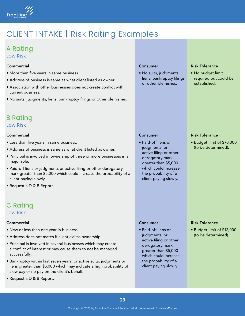

### CLIENT INTAKE | Risk Rating Examples

### A Rating

Low Risk

| Commercial<br>• More than five years in same business.<br>• Address of business is same as what client listed as owner.<br>• Association with other businesses does not create conflict with<br>current business.<br>. No suits, judgments, liens, bankruptcy filings or other blemishes.                                                                                                                                                                                                | <b>Consumer</b><br>· No suits, judgments,<br>liens, bankruptcy filings<br>or other blemishes.                                                                                                         | <b>Risk Tolerance</b><br>· No budget limit<br>required but could be<br>established. |  |
|------------------------------------------------------------------------------------------------------------------------------------------------------------------------------------------------------------------------------------------------------------------------------------------------------------------------------------------------------------------------------------------------------------------------------------------------------------------------------------------|-------------------------------------------------------------------------------------------------------------------------------------------------------------------------------------------------------|-------------------------------------------------------------------------------------|--|
| <b>B</b> Rating<br><b>Low Risk</b>                                                                                                                                                                                                                                                                                                                                                                                                                                                       |                                                                                                                                                                                                       |                                                                                     |  |
| Commercial<br>• Less than five years in same business.<br>• Address of business is same as what client listed as owner.<br>• Principal is involved in ownership of three or more businesses in a<br>major role.<br>. Paid-off liens or judgments or active filing or other derogatory<br>mark greater than \$5,000 which could increase the probability of a<br>client paying slowly.<br>• Request a D & B Report.<br>C Rating<br><b>Low Risk</b>                                        | <b>Consumer</b><br>• Paid-off liens or<br>judgments, or<br>active filing or other<br>derogatory mark<br>greater than \$5,000<br>which could increase<br>the probability of a<br>client paying slowly. | <b>Risk Tolerance</b><br>· Budget limit of \$70,000<br>(to be determined).          |  |
| Commercial<br>. New or less than one year in business.<br>• Address does not match if client claims ownership.<br>• Principal is involved in several businesses which may create<br>a conflict of interest or may cause them to not be managed<br>successfully.<br>• Bankruptcy within last seven years, or active suits, judgments or<br>liens greater than \$5,000 which may indicate a high probability of<br>slow pay or no pay on the client's behalf.<br>• Request a D & B Report. | Consumer<br>• Paid-off liens or<br>judgments, or<br>active filing or other<br>derogatory mark<br>greater than \$5,000<br>which could increase<br>the probability of a<br>client paying slowly.        | <b>Risk Tolerance</b><br>• Budget limit of \$12,000<br>(to be determined)           |  |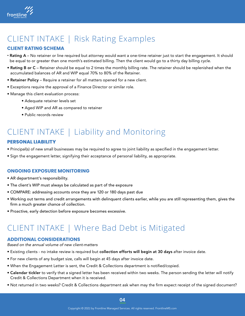

# CLIENT INTAKE | Risk Rating Examples

### **CLIENT RATING SCHEMA**

- Rating A No retainer or line required but attorney would want a one-time retainer just to start the engagement. It should be equal to or greater than one month's estimated billing. Then the client would go to a thirty day billing cycle.
- Rating B or C Retainer should be equal to 2 times the monthly billing rate. The retainer should be replenished when the accumulated balances of AR and WIP equal 70% to 80% of the Retainer.
- Retainer Policy Require a retainer for all matters opened for a new client.
- Exceptions require the approval of a Finance Director or similar role.
- Manage this client evaluation process:
	- Adequate retainer levels set
	- Aged WIP and AR as compared to retainer
	- Public records review

## CLIENT INTAKE | Liability and Monitoring

#### **PERSONAL LIABILITY**

- Principal(s) of new small businesses may be required to agree to joint liability as specified in the engagement letter.
- Sign the engagement letter, signifying their acceptance of personal liability, as appropriate.

#### **ONGOING EXPOSURE MONITORING**

- AR department's responsibility.
- The client's WIP must always be calculated as part of the exposure
- COMPARE: addressing accounts once they are 120 or 180 days past due
- Working out terms and credit arrangements with delinquent clients earlier, while you are still representing them, gives the firm a much greater chance of collection.
- Proactive, early detection before exposure becomes excessive.

### CLIENT INTAKE | Where Bad Debt is Mitigated

#### **ADDITIONAL CONSIDERATIONS**

*Based on the annual volume of new client-matters*

- Existing clients no intake review is required but collection efforts will begin at 30 days after invoice date.
- For new clients of any budget size, calls will begin at 45 days after invoice date.
- When the Engagement Letter is sent, the Credit & Collections department is notified/copied.
- Calendar tickler to verify that a signed letter has been received within two weeks. The person sending the letter will notify Credit & Collections Department when it is received.
- Not returned in two weeks? Credit & Collections department ask when may the firm expect receipt of the signed document?